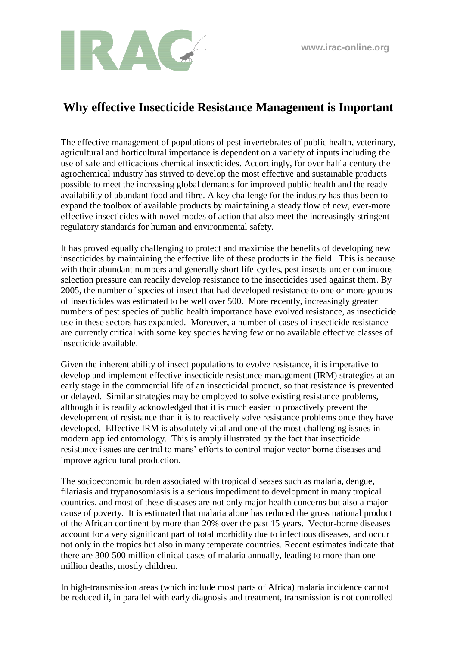

## **Why effective Insecticide Resistance Management is Important**

The effective management of populations of pest invertebrates of public health, veterinary, agricultural and horticultural importance is dependent on a variety of inputs including the use of safe and efficacious chemical insecticides. Accordingly, for over half a century the agrochemical industry has strived to develop the most effective and sustainable products possible to meet the increasing global demands for improved public health and the ready availability of abundant food and fibre. A key challenge for the industry has thus been to expand the toolbox of available products by maintaining a steady flow of new, ever-more effective insecticides with novel modes of action that also meet the increasingly stringent regulatory standards for human and environmental safety.

It has proved equally challenging to protect and maximise the benefits of developing new insecticides by maintaining the effective life of these products in the field. This is because with their abundant numbers and generally short life-cycles, pest insects under continuous selection pressure can readily develop resistance to the insecticides used against them. By 2005, the number of species of insect that had developed resistance to one or more groups of insecticides was estimated to be well over 500. More recently, increasingly greater numbers of pest species of public health importance have evolved resistance, as insecticide use in these sectors has expanded. Moreover, a number of cases of insecticide resistance are currently critical with some key species having few or no available effective classes of insecticide available.

Given the inherent ability of insect populations to evolve resistance, it is imperative to develop and implement effective insecticide resistance management (IRM) strategies at an early stage in the commercial life of an insecticidal product, so that resistance is prevented or delayed. Similar strategies may be employed to solve existing resistance problems, although it is readily acknowledged that it is much easier to proactively prevent the development of resistance than it is to reactively solve resistance problems once they have developed. Effective IRM is absolutely vital and one of the most challenging issues in modern applied entomology. This is amply illustrated by the fact that insecticide resistance issues are central to mans' efforts to control major vector borne diseases and improve agricultural production. improve agricultural production

The socioeconomic burden associated with tropical diseases such as malaria, dengue, filariasis and trypanosomiasis is a serious impediment to development in many tropical countries, and most of these diseases are not only major health concerns but also a major cause of poverty. It is estimated that malaria alone has reduced the gross national product of the African continent by more than 20% over the past 15 years. Vector-borne diseases account for a very significant part of total morbidity due to infectious diseases, and occur not only in the tropics but also in many temperate countries. Recent estimates indicate that there are 300-500 million clinical cases of malaria annually, leading to more than one million deaths, mostly children.

In high-transmission areas (which include most parts of Africa) malaria incidence cannot be reduced if, in parallel with early diagnosis and treatment, transmission is not controlled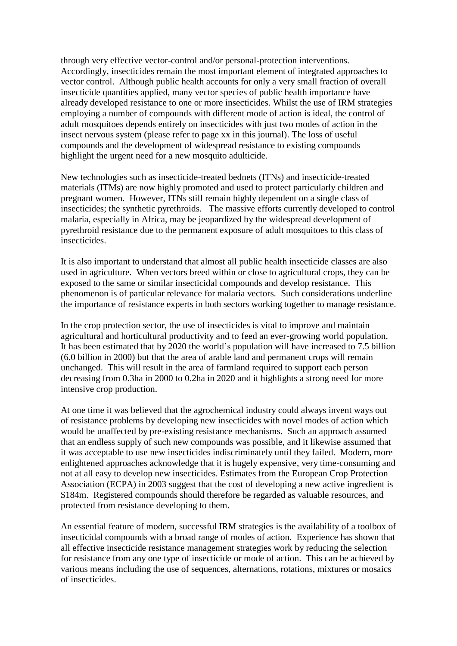through very effective vector-control and/or personal-protection interventions. Accordingly, insecticides remain the most important element of integrated approaches to vector control. Although public health accounts for only a very small fraction of overall insecticide quantities applied, many vector species of public health importance have already developed resistance to one or more insecticides. Whilst the use of IRM strategies employing a number of compounds with different mode of action is ideal, the control of adult mosquitoes depends entirely on insecticides with just two modes of action in the insect nervous system (please refer to page xx in this journal). The loss of useful compounds and the development of widespread resistance to existing compounds highlight the urgent need for a new mosquito adulticide.

New technologies such as insecticide-treated bednets (ITNs) and insecticide-treated materials (ITMs) are now highly promoted and used to protect particularly children and pregnant women. However, ITNs still remain highly dependent on a single class of insecticides; the synthetic pyrethroids. The massive efforts currently developed to control malaria, especially in Africa, may be jeopardized by the widespread development of pyrethroid resistance due to the permanent exposure of adult mosquitoes to this class of insecticides.

It is also important to understand that almost all public health insecticide classes are also used in agriculture. When vectors breed within or close to agricultural crops, they can be exposed to the same or similar insecticidal compounds and develop resistance. This phenomenon is of particular relevance for malaria vectors. Such considerations underline the importance of resistance experts in both sectors working together to manage resistance.

In the crop protection sector, the use of insecticides is vital to improve and maintain agricultural and horticultural productivity and to feed an ever-growing world population. It has been estimated that by 2020 the world's population will have increased to 7.5 billion (6.0 billion in 2000) but that the area of arable land and permanent crops will remain unchanged. This will result in the area of farmland required to support each person decreasing from 0.3ha in 2000 to 0.2ha in 2020 and it highlights a strong need for more intensive crop production.

At one time it was believed that the agrochemical industry could always invent ways out of resistance problems by developing new insecticides with novel modes of action which would be unaffected by pre-existing resistance mechanisms. Such an approach assumed that an endless supply of such new compounds was possible, and it likewise assumed that it was acceptable to use new insecticides indiscriminately until they failed. Modern, more enlightened approaches acknowledge that it is hugely expensive, very time-consuming and not at all easy to develop new insecticides. Estimates from the European Crop Protection Association (ECPA) in 2003 suggest that the cost of developing a new active ingredient is \$184m. Registered compounds should therefore be regarded as valuable resources, and protected from resistance developing to them.

An essential feature of modern, successful IRM strategies is the availability of a toolbox of insecticidal compounds with a broad range of modes of action. Experience has shown that all effective insecticide resistance management strategies work by reducing the selection for resistance from any one type of insecticide or mode of action. This can be achieved by various means including the use of sequences, alternations, rotations, mixtures or mosaics of insecticides.